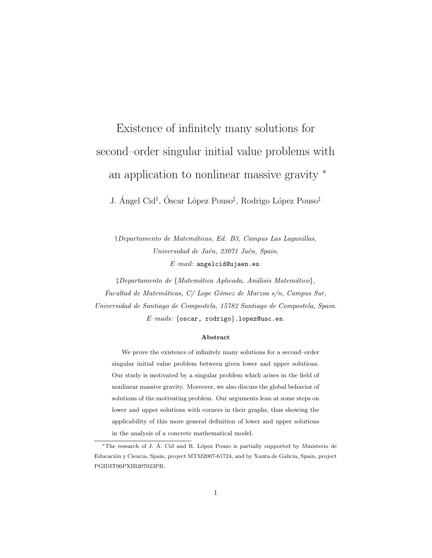# Existence of infinitely many solutions for second–order singular initial value problems with an application to nonlinear massive gravity <sup>∗</sup>

J. Ángel Cid<sup>†</sup>, Óscar López Pouso<sup>‡</sup>, Rodrigo López Pouso<sup>‡</sup>

†Departamento de Matem´aticas, Ed. B3, Campus Las Lagunillas, Universidad de Jaén, 23071 Jaén, Spain.  $E-mail:$  angelcid@ujaen.es.

‡Departamento de {Matem´atica Aplicada, An´alisis Matem´atico}, Facultad de Matemáticas,  $C/$  Lope Gómez de Marzoa s/n, Campus Sur, Universidad de Santiago de Compostela, 15782 Santiago de Compostela, Spain.  $E$ -mails: {oscar, rodrigo}.lopez@usc.es.

### Abstract

We prove the existence of infinitely many solutions for a second–order singular initial value problem between given lower and upper solutions. Our study is motivated by a singular problem which arises in the field of nonlinear massive gravity. Moreover, we also discuss the global behavior of solutions of the motivating problem. Our arguments lean at some steps on lower and upper solutions with corners in their graphs, thus showing the applicability of this more general definition of lower and upper solutions in the analysis of a concrete mathematical model.

<sup>∗</sup>The research of J. A. Cid and R. L´opez Pouso is partially supported by Ministerio de ´ Educación y Ciencia, Spain, project MTM2007-61724, and by Xunta de Galicia, Spain, project PGIDIT06PXIB207023PR.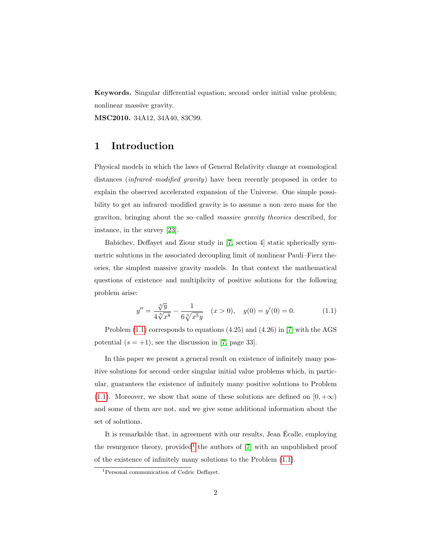Keywords. Singular differential equation; second–order initial value problem; nonlinear massive gravity.

MSC2010. 34A12, 34A40, 83C99.

### 1 Introduction

Physical models in which the laws of General Relativity change at cosmological distances (infrared–modified gravity) have been recently proposed in order to explain the observed accelerated expansion of the Universe. One simple possibility to get an infrared–modified gravity is to assume a non–zero mass for the graviton, bringing about the so–called massive gravity theories described, for instance, in the survey [\[23\]](#page-22-0).

Babichev, Deffayet and Ziour study in [\[7,](#page-21-0) section 4] static spherically symmetric solutions in the associated decoupling limit of nonlinear Pauli–Fierz theories, the simplest massive gravity models. In that context the mathematical questions of existence and multiplicity of positive solutions for the following problem arise:

<span id="page-1-0"></span>
$$
y'' = \frac{\sqrt[3]{y}}{4\sqrt[3]{x^8}} - \frac{1}{6\sqrt[3]{x^5y}} \quad (x > 0), \quad y(0) = y'(0) = 0.
$$
 (1.1)

Problem [\(1.1\)](#page-1-0) corresponds to equations (4.25) and (4.26) in [\[7\]](#page-21-0) with the AGS potential  $(s = +1)$ , see the discussion in [\[7,](#page-21-0) page 33].

In this paper we present a general result on existence of infinitely many positive solutions for second–order singular initial value problems which, in particular, guarantees the existence of infinitely many positive solutions to Problem [\(1.1\)](#page-1-0). Moreover, we show that some of these solutions are defined on  $[0, +\infty)$ and some of them are not, and we give some additional information about the set of solutions.

It is remarkable that, in agreement with our results, Jean Ecalle, employing ´ the resurgence theory, provided<sup>[1](#page-1-1)</sup> the authors of  $[7]$  with an unpublished proof of the existence of infinitely many solutions to the Problem [\(1.1\)](#page-1-0).

<span id="page-1-1"></span><sup>1</sup>Personal communication of Cedric Deffayet.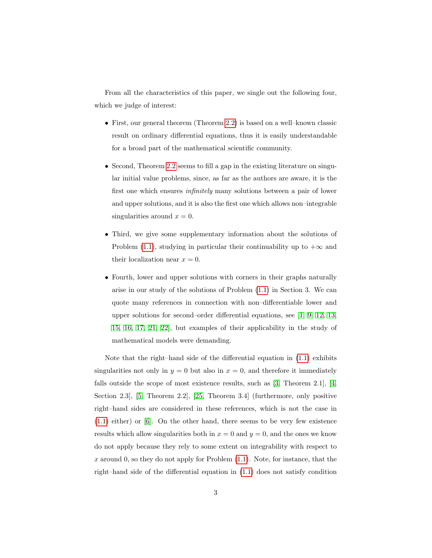From all the characteristics of this paper, we single out the following four, which we judge of interest:

- First, our general theorem (Theorem [2.2\)](#page-5-0) is based on a well–known classic result on ordinary differential equations, thus it is easily understandable for a broad part of the mathematical scientific community.
- Second, Theorem [2.2](#page-5-0) seems to fill a gap in the existing literature on singular initial value problems, since, as far as the authors are aware, it is the first one which ensures infinitely many solutions between a pair of lower and upper solutions, and it is also the first one which allows non–integrable singularities around  $x = 0$ .
- Third, we give some supplementary information about the solutions of Problem [\(1.1\)](#page-1-0), studying in particular their continuability up to  $+\infty$  and their localization near  $x = 0$ .
- Fourth, lower and upper solutions with corners in their graphs naturally arise in our study of the solutions of Problem [\(1.1\)](#page-1-0) in Section 3. We can quote many references in connection with non–differentiable lower and upper solutions for second–order differential equations, see [\[1,](#page-20-0) [9,](#page-21-1) [12,](#page-21-2) [13,](#page-21-3) [15,](#page-21-4) [16,](#page-21-5) [17,](#page-22-1) [21,](#page-22-2) [22\]](#page-22-3), but examples of their applicability in the study of mathematical models were demanding.

Note that the right–hand side of the differential equation in [\(1.1\)](#page-1-0) exhibits singularities not only in  $y = 0$  but also in  $x = 0$ , and therefore it immediately falls outside the scope of most existence results, such as [\[3,](#page-20-1) Theorem 2.1], [\[4,](#page-20-2) Section 2.3], [\[5,](#page-20-3) Theorem 2.2], [\[25,](#page-22-4) Theorem 3.4] (furthermore, only positive right–hand sides are considered in these references, which is not the case in  $(1.1)$  either) or [\[6\]](#page-20-4). On the other hand, there seems to be very few existence results which allow singularities both in  $x = 0$  and  $y = 0$ , and the ones we know do not apply because they rely to some extent on integrability with respect to x around 0, so they do not apply for Problem  $(1.1)$ . Note, for instance, that the right–hand side of the differential equation in [\(1.1\)](#page-1-0) does not satisfy condition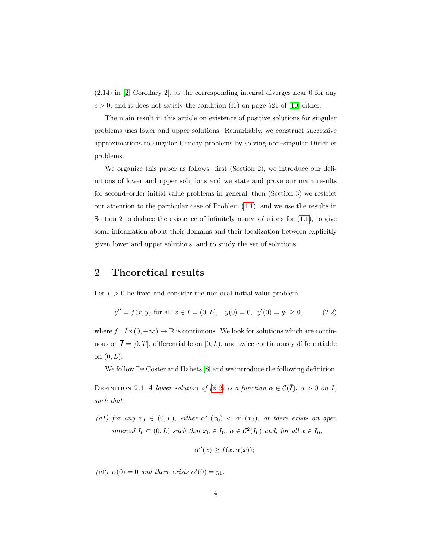(2.14) in [\[2,](#page-20-5) Corollary 2], as the corresponding integral diverges near 0 for any  $c > 0$ , and it does not satisfy the condition (f0) on page 521 of [\[10\]](#page-21-6) either.

The main result in this article on existence of positive solutions for singular problems uses lower and upper solutions. Remarkably, we construct successive approximations to singular Cauchy problems by solving non–singular Dirichlet problems.

We organize this paper as follows: first (Section 2), we introduce our definitions of lower and upper solutions and we state and prove our main results for second–order initial value problems in general; then (Section 3) we restrict our attention to the particular case of Problem [\(1.1\)](#page-1-0), and we use the results in Section 2 to deduce the existence of infinitely many solutions for  $(1.1)$ , to give some information about their domains and their localization between explicitly given lower and upper solutions, and to study the set of solutions.

### 2 Theoretical results

Let  $L > 0$  be fixed and consider the nonlocal initial value problem

<span id="page-3-0"></span>
$$
y'' = f(x, y) \text{ for all } x \in I = (0, L], \quad y(0) = 0, \ y'(0) = y_1 \ge 0,
$$
 (2.2)

where  $f: I \times (0, +\infty) \to \mathbb{R}$  is continuous. We look for solutions which are continuous on  $\overline{I} = [0, T]$ , differentiable on  $[0, L)$ , and twice continuously differentiable on  $(0, L)$ .

We follow De Coster and Habets [\[8\]](#page-21-7) and we introduce the following definition.

<span id="page-3-1"></span>DEFINITION 2.1 A lower solution of [\(2.2\)](#page-3-0) is a function  $\alpha \in \mathcal{C}(\overline{I})$ ,  $\alpha > 0$  on I, such that

(a1) for any  $x_0 \in (0,L)$ , either  $\alpha'_{-}(x_0) < \alpha'_{+}(x_0)$ , or there exists an open interval  $I_0 \subset (0,L)$  such that  $x_0 \in I_0$ ,  $\alpha \in C^2(I_0)$  and, for all  $x \in I_0$ ,

$$
\alpha''(x) \ge f(x, \alpha(x));
$$

(a2)  $\alpha(0) = 0$  and there exists  $\alpha'(0) = y_1$ .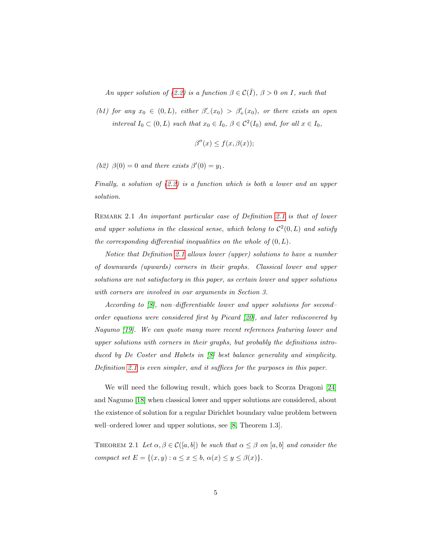An upper solution of [\(2.2\)](#page-3-0) is a function  $\beta \in \mathcal{C}(\overline{I}), \beta > 0$  on I, such that

(b1) for any  $x_0 \in (0,L)$ , either  $\beta'_{-}(x_0) > \beta'_{+}(x_0)$ , or there exists an open interval  $I_0 \subset (0,L)$  such that  $x_0 \in I_0$ ,  $\beta \in C^2(I_0)$  and, for all  $x \in I_0$ ,

$$
\beta''(x) \le f(x, \beta(x));
$$

(b2)  $\beta(0) = 0$  and there exists  $\beta'(0) = y_1$ .

Finally, a solution of  $(2.2)$  is a function which is both a lower and an upper solution.

REMARK [2.1](#page-3-1) An important particular case of Definition 2.1 is that of lower and upper solutions in the classical sense, which belong to  $\mathcal{C}^2(0,L)$  and satisfy the corresponding differential inequalities on the whole of  $(0, L)$ .

Notice that Definition [2.1](#page-3-1) allows lower (upper) solutions to have a number of downwards (upwards) corners in their graphs. Classical lower and upper solutions are not satisfactory in this paper, as certain lower and upper solutions with corners are involved in our arguments in Section 3.

According to [\[8\]](#page-21-7), non–differentiable lower and upper solutions for second– order equations were considered first by Picard [\[20\]](#page-22-5), and later rediscovered by Nagumo [\[19\]](#page-22-6). We can quote many more recent references featuring lower and upper solutions with corners in their graphs, but probably the definitions introduced by De Coster and Habets in [\[8\]](#page-21-7) best balance generality and simplicity. Definition [2.1](#page-3-1) is even simpler, and it suffices for the purposes in this paper.

We will need the following result, which goes back to Scorza Dragoni [\[24\]](#page-22-7) and Nagumo [\[18\]](#page-22-8) when classical lower and upper solutions are considered, about the existence of solution for a regular Dirichlet boundary value problem between well–ordered lower and upper solutions, see [\[8,](#page-21-7) Theorem 1.3].

<span id="page-4-0"></span>THEOREM 2.1 Let  $\alpha, \beta \in \mathcal{C}([a, b])$  be such that  $\alpha \leq \beta$  on  $[a, b]$  and consider the compact set  $E = \{(x, y) : a \le x \le b, \alpha(x) \le y \le \beta(x)\}.$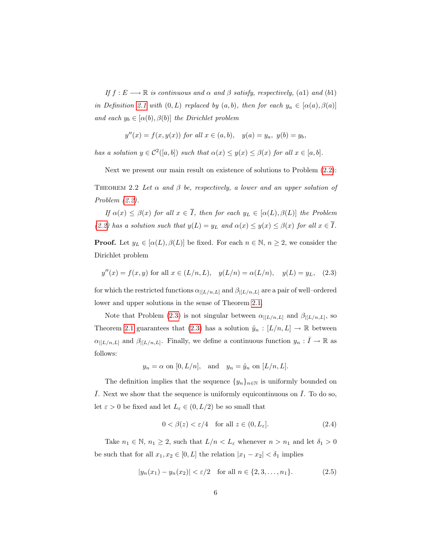If  $f : E \longrightarrow \mathbb{R}$  is continuous and  $\alpha$  and  $\beta$  satisfy, respectively, (a1) and (b1) in Definition [2.1](#page-3-1) with  $(0, L)$  replaced by  $(a, b)$ , then for each  $y_a \in [\alpha(a), \beta(a)]$ and each  $y_b \in [\alpha(b), \beta(b)]$  the Dirichlet problem

 $y''(x) = f(x, y(x))$  for all  $x \in (a, b)$ ,  $y(a) = y_a$ ,  $y(b) = y_b$ ,

has a solution  $y \in C^2([a, b])$  such that  $\alpha(x) \leq y(x) \leq \beta(x)$  for all  $x \in [a, b]$ .

Next we present our main result on existence of solutions to Problem [\(2.2\)](#page-3-0):

<span id="page-5-0"></span>THEOREM 2.2 Let  $\alpha$  and  $\beta$  be, respectively, a lower and an upper solution of Problem [\(2.2\)](#page-3-0).

If  $\alpha(x) \leq \beta(x)$  for all  $x \in \overline{I}$ , then for each  $y_L \in [\alpha(L), \beta(L)]$  the Problem [\(2.2\)](#page-3-0) has a solution such that  $y(L) = y_L$  and  $\alpha(x) \le y(x) \le \beta(x)$  for all  $x \in \overline{I}$ .

**Proof.** Let  $y_L \in [\alpha(L), \beta(L)]$  be fixed. For each  $n \in \mathbb{N}$ ,  $n \geq 2$ , we consider the Dirichlet problem

<span id="page-5-1"></span>
$$
y''(x) = f(x, y)
$$
 for all  $x \in (L/n, L)$ ,  $y(L/n) = \alpha(L/n)$ ,  $y(L) = y_L$ , (2.3)

for which the restricted functions  $\alpha_{|[L/n,L]}$  and  $\beta_{|[L/n,L]}$  are a pair of well–ordered lower and upper solutions in the sense of Theorem [2.1.](#page-4-0)

Note that Problem [\(2.3\)](#page-5-1) is not singular between  $\alpha_{|[L/n,L]}$  and  $\beta_{|[L/n,L]}$ , so Theorem [2.1](#page-4-0) guarantees that [\(2.3\)](#page-5-1) has a solution  $\tilde{y}_n : [L/n, L] \to \mathbb{R}$  between  $\alpha_{|[L/n,L]}$  and  $\beta_{|[L/n,L]}$ . Finally, we define a continuous function  $y_n: \bar{I} \to \mathbb{R}$  as follows:

$$
y_n = \alpha
$$
 on  $[0, L/n]$ , and  $y_n = \tilde{y}_n$  on  $[L/n, L]$ .

The definition implies that the sequence  $\{y_n\}_{n\in\mathbb{N}}$  is uniformly bounded on  $\overline{I}$ . Next we show that the sequence is uniformly equicontinuous on  $\overline{I}$ . To do so, let  $\varepsilon > 0$  be fixed and let  $L_{\varepsilon} \in (0, L/2)$  be so small that

<span id="page-5-3"></span><span id="page-5-2"></span>
$$
0 < \beta(z) < \varepsilon/4 \quad \text{for all } z \in (0, L_{\varepsilon}].\tag{2.4}
$$

Take  $n_1 \in \mathbb{N}$ ,  $n_1 \geq 2$ , such that  $L/n < L_{\varepsilon}$  whenever  $n > n_1$  and let  $\delta_1 > 0$ be such that for all  $x_1, x_2 \in [0, L]$  the relation  $|x_1 - x_2| < \delta_1$  implies

$$
|y_n(x_1) - y_n(x_2)| < \varepsilon/2 \quad \text{for all } n \in \{2, 3, \dots, n_1\}. \tag{2.5}
$$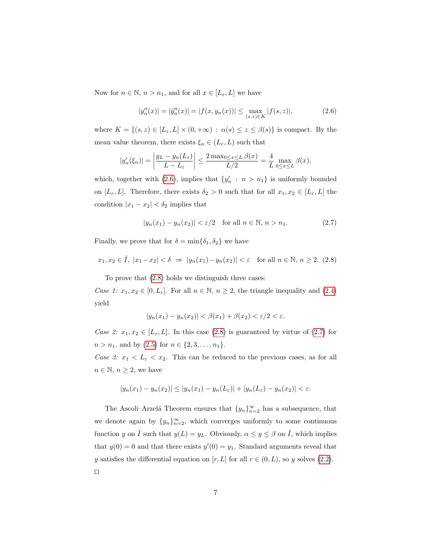Now for  $n \in \mathbb{N}$ ,  $n > n_1$ , and for all  $x \in [L_{\varepsilon}, L]$  we have

<span id="page-6-0"></span>
$$
|y_n''(x)| = |\tilde{y}_n''(x)| = |f(x, y_n(x))| \le \max_{(s,z)\in K} |f(s,z)|,\tag{2.6}
$$

where  $K = \{(s, z) \in [L_{\varepsilon}, L] \times (0, +\infty) : \alpha(s) \leq z \leq \beta(s)\}\$ is compact. By the mean value theorem, there exists  $\xi_n \in (L_{\varepsilon}, L)$  such that

$$
|y_n'(\xi_n)| = \left|\frac{y_L - y_n(L_{\varepsilon})}{L - L_{\varepsilon}}\right| \le \frac{2 \max_{0 \le x \le L} \beta(x)}{L/2} = \frac{4}{L} \max_{0 \le x \le L} \beta(x),
$$

which, together with [\(2.6\)](#page-6-0), implies that  $\{y'_n : n > n_1\}$  is uniformly bounded on  $[L_{\varepsilon}, L]$ . Therefore, there exists  $\delta_2 > 0$  such that for all  $x_1, x_2 \in [L_{\varepsilon}, L]$  the condition  $|x_1 - x_2| < \delta_2$  implies that

<span id="page-6-2"></span><span id="page-6-1"></span>
$$
|y_n(x_1) - y_n(x_2)| < \varepsilon/2 \quad \text{for all } n \in \mathbb{N}, n > n_1. \tag{2.7}
$$

Finally, we prove that for  $\delta = \min{\{\delta_1, \delta_2\}}$  we have

$$
x_1, x_2 \in \overline{I}, \ |x_1 - x_2| < \delta \ \Rightarrow \ |y_n(x_1) - y_n(x_2)| < \varepsilon \quad \text{for all } n \in \mathbb{N}, \ n \ge 2. \tag{2.8}
$$

To prove that [\(2.8\)](#page-6-1) holds we distinguish three cases:

Case 1:  $x_1, x_2 \in [0, L_{\varepsilon}]$ . For all  $n \in \mathbb{N}$ ,  $n \ge 2$ , the triangle inequality and [\(2.4\)](#page-5-2) yield

$$
|y_n(x_1) - y_n(x_2)| < \beta(x_1) + \beta(x_2) < \varepsilon/2 < \varepsilon.
$$

Case 2:  $x_1, x_2 \in [L_{\varepsilon}, L]$ . In this case [\(2.8\)](#page-6-1) is guaranteed by virtue of [\(2.7\)](#page-6-2) for  $n > n_1$ , and by  $(2.5)$  for  $n \in \{2, 3, ..., n_1\}$ .

Case 3:  $x_1 < L_{\varepsilon} < x_2$ . This can be reduced to the previous cases, as for all  $n \in \mathbb{N}, n \geq 2$ , we have

$$
|y_n(x_1) - y_n(x_2)| \le |y_n(x_1) - y_n(L_{\varepsilon})| + |y_n(L_{\varepsilon}) - y_n(x_2)| < \varepsilon.
$$

The Ascoli–Arzelá Theorem ensures that  ${y_n}_{n=2}^{\infty}$  has a subsequence, that we denote again by  $\{y_n\}_{n=2}^{\infty}$ , which converges uniformly to some continuous function y on  $\overline{I}$  such that  $y(L) = y_L$ . Obviously,  $\alpha \leq y \leq \beta$  on  $\overline{I}$ , which implies that  $y(0) = 0$  and that there exists  $y'(0) = y_1$ . Standard arguments reveal that y satisfies the differential equation on  $[r, L]$  for all  $r \in (0, L)$ , so y solves  $(2.2)$ .  $\Box$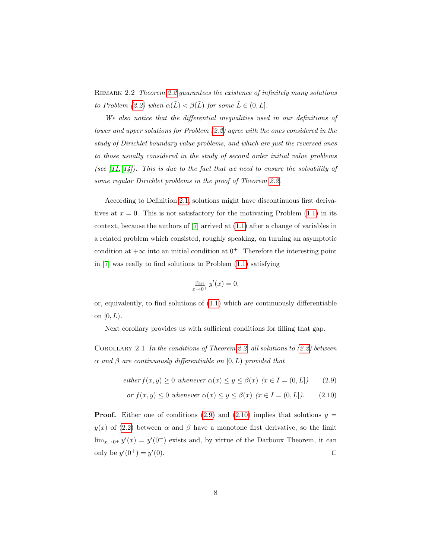REMARK [2.2](#page-5-0) Theorem 2.2 guarantees the existence of infinitely many solutions to Problem [\(2.2\)](#page-3-0) when  $\alpha(\tilde{L}) < \beta(\tilde{L})$  for some  $\tilde{L} \in (0, L]$ .

We also notice that the differential inequalities used in our definitions of lower and upper solutions for Problem [\(2.2\)](#page-3-0) agree with the ones considered in the study of Dirichlet boundary value problems, and which are just the reversed ones to those usually considered in the study of second order initial value problems (see  $(11, 14)$ ). This is due to the fact that we need to ensure the solvability of some regular Dirichlet problems in the proof of Theorem [2.2.](#page-5-0)

According to Definition [2.1,](#page-3-1) solutions might have discontinuous first derivatives at  $x = 0$ . This is not satisfactory for the motivating Problem  $(1.1)$  in its context, because the authors of [\[7\]](#page-21-0) arrived at [\(1.1\)](#page-1-0) after a change of variables in a related problem which consisted, roughly speaking, on turning an asymptotic condition at  $+\infty$  into an initial condition at  $0^+$ . Therefore the interesting point in [\[7\]](#page-21-0) was really to find solutions to Problem [\(1.1\)](#page-1-0) satisfying

$$
\lim_{x \to 0^+} y'(x) = 0,
$$

or, equivalently, to find solutions of  $(1.1)$  which are continuously differentiable on  $[0, L)$ .

<span id="page-7-1"></span>Next corollary provides us with sufficient conditions for filling that gap.

COROLLARY 2.1 In the conditions of Theorem [2.2,](#page-5-0) all solutions to  $(2.2)$  between  $\alpha$  and  $\beta$  are continuously differentiable on  $[0, L)$  provided that

<span id="page-7-0"></span>
$$
either f(x, y) \ge 0 \text{ whenever } \alpha(x) \le y \le \beta(x) \ (x \in I = (0, L]) \tag{2.9}
$$

or 
$$
f(x, y) \le 0
$$
 whenever  $\alpha(x) \le y \le \beta(x)$   $(x \in I = (0, L])$ . (2.10)

**Proof.** Either one of conditions [\(2.9\)](#page-7-0) and [\(2.10\)](#page-7-0) implies that solutions  $y =$  $y(x)$  of [\(2.2\)](#page-3-0) between  $\alpha$  and  $\beta$  have a monotone first derivative, so the limit  $\lim_{x\to 0^+} y'(x) = y'(0^+)$  exists and, by virtue of the Darboux Theorem, it can only be  $y'(0^+) = y'$  $(0).$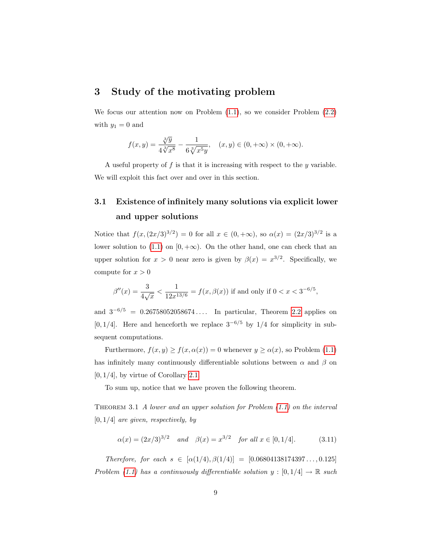### 3 Study of the motivating problem

We focus our attention now on Problem  $(1.1)$ , so we consider Problem  $(2.2)$ with  $y_1 = 0$  and

$$
f(x,y) = \frac{\sqrt[3]{y}}{4\sqrt[3]{x^8}} - \frac{1}{6\sqrt[3]{x^5y}}, \quad (x,y) \in (0, +\infty) \times (0, +\infty).
$$

A useful property of  $f$  is that it is increasing with respect to the  $y$  variable. We will exploit this fact over and over in this section.

# 3.1 Existence of infinitely many solutions via explicit lower and upper solutions

Notice that  $f(x,(2x/3)^{3/2}) = 0$  for all  $x \in (0, +\infty)$ , so  $\alpha(x) = (2x/3)^{3/2}$  is a lower solution to [\(1.1\)](#page-1-0) on [0, + $\infty$ ). On the other hand, one can check that an upper solution for  $x > 0$  near zero is given by  $\beta(x) = x^{3/2}$ . Specifically, we compute for  $x > 0$ 

$$
\beta''(x) = \frac{3}{4\sqrt{x}} < \frac{1}{12x^{13/6}} = f(x, \beta(x)) \text{ if and only if } 0 < x < 3^{-6/5},
$$

and  $3^{-6/5} = 0.26758052058674...$  In particular, Theorem [2.2](#page-5-0) applies on [0, 1/4]. Here and henceforth we replace  $3^{-6/5}$  by 1/4 for simplicity in subsequent computations.

Furthermore,  $f(x, y) \ge f(x, \alpha(x)) = 0$  whenever  $y \ge \alpha(x)$ , so Problem [\(1.1\)](#page-1-0) has infinitely many continuously differentiable solutions between  $\alpha$  and  $\beta$  on  $[0, 1/4]$ , by virtue of Corollary [2.1.](#page-7-1)

To sum up, notice that we have proven the following theorem.

THEOREM 3.1 A lower and an upper solution for Problem  $(1.1)$  on the interval  $[0, 1/4]$  are given, respectively, by

$$
\alpha(x) = (2x/3)^{3/2}
$$
 and  $\beta(x) = x^{3/2}$  for all  $x \in [0, 1/4]$ . (3.11)

Therefore, for each  $s \in [\alpha(1/4), \beta(1/4)] = [0.06804138174397\dots, 0.125]$ Problem [\(1.1\)](#page-1-0) has a continuously differentiable solution  $y : [0, 1/4] \rightarrow \mathbb{R}$  such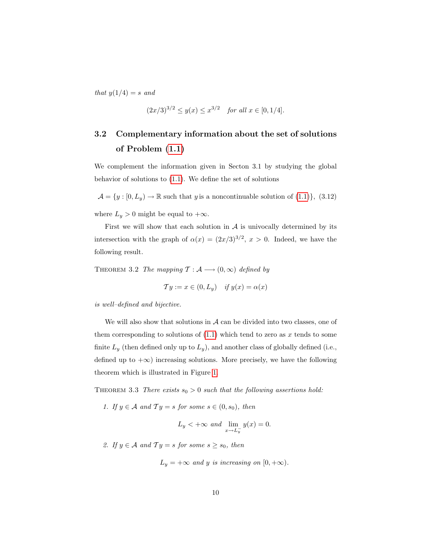that  $y(1/4) = s$  and

$$
(2x/3)^{3/2} \le y(x) \le x^{3/2}
$$
 for all  $x \in [0, 1/4]$ .

# 3.2 Complementary information about the set of solutions of Problem [\(1.1\)](#page-1-0)

We complement the information given in Secton 3.1 by studying the global behavior of solutions to [\(1.1\)](#page-1-0). We define the set of solutions

 $\mathcal{A} = \{y : [0, L_y) \to \mathbb{R} \text{ such that } y \text{ is a noncontinuous solution of } (1.1)\}, (3.12)$  $\mathcal{A} = \{y : [0, L_y) \to \mathbb{R} \text{ such that } y \text{ is a noncontinuous solution of } (1.1)\}, (3.12)$  $\mathcal{A} = \{y : [0, L_y) \to \mathbb{R} \text{ such that } y \text{ is a noncontinuous solution of } (1.1)\}, (3.12)$ where  $L_y > 0$  might be equal to  $+\infty$ .

First we will show that each solution in  $A$  is univocally determined by its intersection with the graph of  $\alpha(x) = (2x/3)^{3/2}$ ,  $x > 0$ . Indeed, we have the following result.

<span id="page-9-0"></span>THEOREM 3.2 The mapping  $\mathcal{T} : \mathcal{A} \longrightarrow (0, \infty)$  defined by

$$
\mathcal{T}y := x \in (0, L_y) \quad \text{if } y(x) = \alpha(x)
$$

is well–defined and bijective.

We will also show that solutions in  $A$  can be divided into two classes, one of them corresponding to solutions of  $(1.1)$  which tend to zero as x tends to some finite  $L_y$  (then defined only up to  $L_y$ ), and another class of globally defined (i.e., defined up to  $+\infty$ ) increasing solutions. More precisely, we have the following theorem which is illustrated in Figure [1.](#page-10-0)

<span id="page-9-1"></span>THEOREM 3.3 There exists  $s_0 > 0$  such that the following assertions hold:

1. If  $y \in A$  and  $Ty = s$  for some  $s \in (0, s_0)$ , then

$$
L_y < +\infty \text{ and } \lim_{x \to L_y^-} y(x) = 0.
$$

2. If  $y \in A$  and  $Ty = s$  for some  $s \geq s_0$ , then

 $L_y = +\infty$  and y is increasing on [0, + $\infty$ ).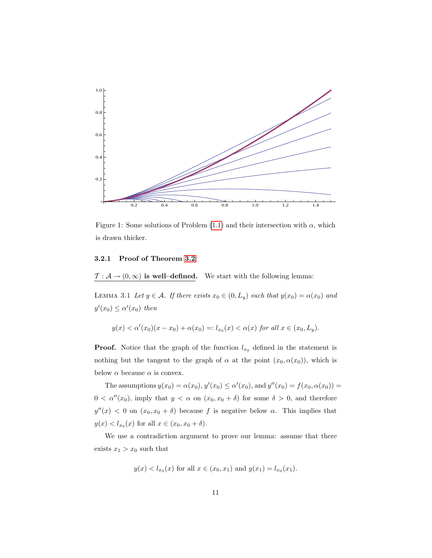

<span id="page-10-0"></span>Figure 1: Some solutions of Problem [\(1.1\)](#page-1-0) and their intersection with  $\alpha$ , which is drawn thicker.

#### 3.2.1 Proof of Theorem [3.2](#page-9-0)

<span id="page-10-1"></span> $\mathcal{T} : \mathcal{A} \to (0,\infty)$  is well-defined. We start with the following lemma:

LEMMA 3.1 Let  $y \in A$ . If there exists  $x_0 \in (0, L_y)$  such that  $y(x_0) = \alpha(x_0)$  and  $y'(x_0) \leq \alpha'(x_0)$  then

$$
y(x) < \alpha'(x_0)(x - x_0) + \alpha(x_0) =: l_{x_0}(x) < \alpha(x) \text{ for all } x \in (x_0, L_y).
$$

**Proof.** Notice that the graph of the function  $l_{x_0}$  defined in the statement is nothing but the tangent to the graph of  $\alpha$  at the point  $(x_0, \alpha(x_0))$ , which is below  $\alpha$  because  $\alpha$  is convex.

The assumptions  $y(x_0) = \alpha(x_0), y'(x_0) \le \alpha'(x_0)$ , and  $y''(x_0) = f(x_0, \alpha(x_0))$  $0 < \alpha''(x_0)$ , imply that  $y < \alpha$  on  $(x_0, x_0 + \delta)$  for some  $\delta > 0$ , and therefore  $y''(x) < 0$  on  $(x_0, x_0 + \delta)$  because f is negative below  $\alpha$ . This implies that  $y(x) < l_{x_0}(x)$  for all  $x \in (x_0, x_0 + \delta)$ .

We use a contradiction argument to prove our lemma: assume that there exists  $x_1 > x_0$  such that

$$
y(x) < l_{x_0}(x)
$$
 for all  $x \in (x_0, x_1)$  and  $y(x_1) = l_{x_0}(x_1)$ .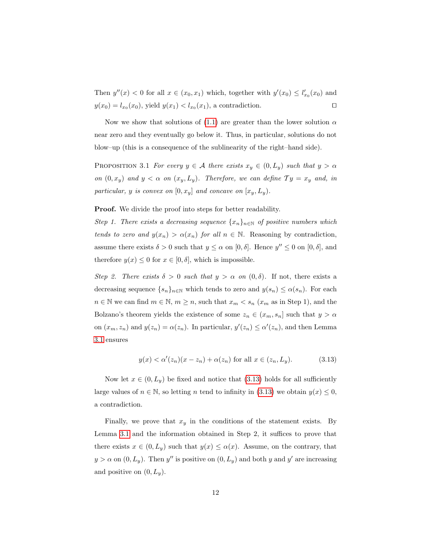Then  $y''(x) < 0$  for all  $x \in (x_0, x_1)$  which, together with  $y'(x_0) \leq l'_{x_0}(x_0)$  and  $y(x_0) = l_{x_0}(x_0)$ , yield  $y(x_1) < l_{x_0}(x_1)$ , a contradiction.

<span id="page-11-1"></span>Now we show that solutions of [\(1.1\)](#page-1-0) are greater than the lower solution  $\alpha$ near zero and they eventually go below it. Thus, in particular, solutions do not blow–up (this is a consequence of the sublinearity of the right–hand side).

PROPOSITION 3.1 For every  $y \in A$  there exists  $x_y \in (0, L_y)$  such that  $y > \alpha$ on  $(0, x_y)$  and  $y < \alpha$  on  $(x_y, L_y)$ . Therefore, we can define  $Ty = x_y$  and, in particular,  $y$  is convex on  $[0, x_y]$  and concave on  $[x_y, L_y)$ .

Proof. We divide the proof into steps for better readability.

Step 1. There exists a decreasing sequence  $\{x_n\}_{n\in\mathbb{N}}$  of positive numbers which tends to zero and  $y(x_n) > \alpha(x_n)$  for all  $n \in \mathbb{N}$ . Reasoning by contradiction, assume there exists  $\delta > 0$  such that  $y \leq \alpha$  on  $[0, \delta]$ . Hence  $y'' \leq 0$  on  $[0, \delta]$ , and therefore  $y(x) \leq 0$  for  $x \in [0, \delta]$ , which is impossible.

Step 2. There exists  $\delta > 0$  such that  $y > \alpha$  on  $(0, \delta)$ . If not, there exists a decreasing sequence  $\{s_n\}_{n\in\mathbb{N}}$  which tends to zero and  $y(s_n) \leq \alpha(s_n)$ . For each  $n \in \mathbb{N}$  we can find  $m \in \mathbb{N}$ ,  $m \ge n$ , such that  $x_m < s_n$   $(x_m$  as in Step 1), and the Bolzano's theorem yields the existence of some  $z_n \in (x_m, s_n]$  such that  $y > \alpha$ on  $(x_m, z_n)$  and  $y(z_n) = \alpha(z_n)$ . In particular,  $y'(z_n) \leq \alpha'(z_n)$ , and then Lemma [3.1](#page-10-1) ensures

<span id="page-11-0"></span>
$$
y(x) < \alpha'(z_n)(x - z_n) + \alpha(z_n) \text{ for all } x \in (z_n, L_y). \tag{3.13}
$$

Now let  $x \in (0, L_y)$  be fixed and notice that [\(3.13\)](#page-11-0) holds for all sufficiently large values of  $n \in \mathbb{N}$ , so letting n tend to infinity in [\(3.13\)](#page-11-0) we obtain  $y(x) \leq 0$ , a contradiction.

Finally, we prove that  $x_y$  in the conditions of the statement exists. By Lemma [3.1](#page-10-1) and the information obtained in Step 2, it suffices to prove that there exists  $x \in (0, L_y)$  such that  $y(x) \leq \alpha(x)$ . Assume, on the contrary, that  $y > \alpha$  on  $(0, L_y)$ . Then y'' is positive on  $(0, L_y)$  and both y and y' are increasing and positive on  $(0, L_y)$ .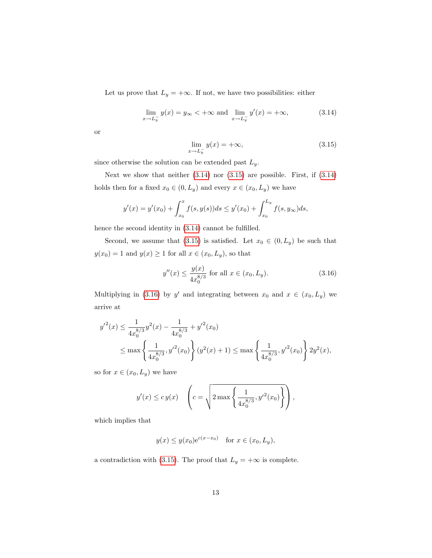Let us prove that  $L_y = +\infty$ . If not, we have two possibilities: either

$$
\lim_{x \to L_y^-} y(x) = y_\infty < +\infty \text{ and } \lim_{x \to L_y^-} y'(x) = +\infty,
$$
\n(3.14)

<span id="page-12-1"></span>or

<span id="page-12-0"></span>
$$
\lim_{x \to L_y^-} y(x) = +\infty, \tag{3.15}
$$

since otherwise the solution can be extended past  $L_y$ .

Next we show that neither  $(3.14)$  nor  $(3.15)$  are possible. First, if  $(3.14)$ holds then for a fixed  $x_0 \in (0, L_y)$  and every  $x \in (x_0, L_y)$  we have

$$
y'(x) = y'(x_0) + \int_{x_0}^x f(s, y(s))ds \le y'(x_0) + \int_{x_0}^{L_y} f(s, y_{\infty})ds,
$$

hence the second identity in [\(3.14\)](#page-12-0) cannot be fulfilled.

Second, we assume that [\(3.15\)](#page-12-1) is satisfied. Let  $x_0 \in (0, L_y)$  be such that  $y(x_0) = 1$  and  $y(x) \ge 1$  for all  $x \in (x_0, L_y)$ , so that

<span id="page-12-2"></span>
$$
y''(x) \le \frac{y(x)}{4x_0^{8/3}} \text{ for all } x \in (x_0, L_y). \tag{3.16}
$$

Multiplying in [\(3.16\)](#page-12-2) by y' and integrating between  $x_0$  and  $x \in (x_0, L_y)$  we arrive at

$$
y'^{2}(x) \leq \frac{1}{4x_{0}^{8/3}}y^{2}(x) - \frac{1}{4x_{0}^{8/3}} + y'^{2}(x_{0})
$$
  
 
$$
\leq \max \left\{\frac{1}{4x_{0}^{8/3}}, y'^{2}(x_{0})\right\}(y^{2}(x) + 1) \leq \max \left\{\frac{1}{4x_{0}^{8/3}}, y'^{2}(x_{0})\right\}2y^{2}(x),
$$

so for  $x \in (x_0, L_y)$  we have

$$
y'(x) \le cy(x) \quad \left(c = \sqrt{2 \max\left\{\frac{1}{4x_0^{8/3}}, y'^2(x_0)\right\}}\right),
$$

which implies that

$$
y(x) \le y(x_0)e^{c(x-x_0)}
$$
 for  $x \in (x_0, L_y)$ ,

a contradiction with [\(3.15\)](#page-12-1). The proof that  $L_y = +\infty$  is complete.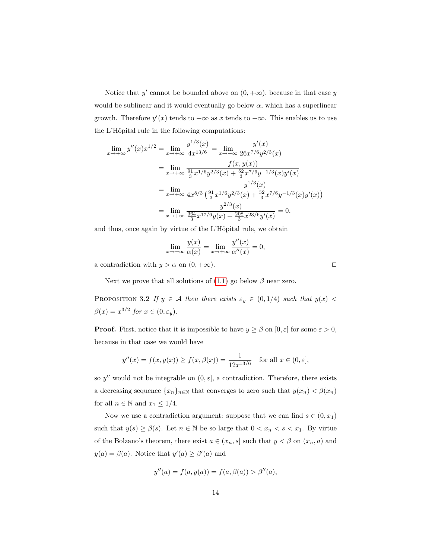Notice that y' cannot be bounded above on  $(0, +\infty)$ , because in that case y would be sublinear and it would eventually go below  $\alpha$ , which has a superlinear growth. Therefore  $y'(x)$  tends to  $+\infty$  as x tends to  $+\infty$ . This enables us to use the L'Hôpital rule in the following computations:

$$
\lim_{x \to +\infty} y''(x)x^{1/2} = \lim_{x \to +\infty} \frac{y^{1/3}(x)}{4x^{13/6}} = \lim_{x \to +\infty} \frac{y'(x)}{26x^{7/6}y^{2/3}(x)}
$$
\n
$$
= \lim_{x \to +\infty} \frac{f(x, y(x))}{\frac{91}{3}x^{1/6}y^{2/3}(x) + \frac{52}{3}x^{7/6}y^{-1/3}(x)y'(x)}
$$
\n
$$
= \lim_{x \to +\infty} \frac{y^{1/3}(x)}{4x^{8/3}(\frac{91}{3}x^{1/6}y^{2/3}(x) + \frac{52}{3}x^{7/6}y^{-1/3}(x)y'(x))}
$$
\n
$$
= \lim_{x \to +\infty} \frac{y^{2/3}(x)}{\frac{364}{3}x^{17/6}y(x) + \frac{208}{3}x^{23/6}y'(x)} = 0,
$$

and thus, once again by virtue of the L'Hôpital rule, we obtain

$$
\lim_{x \to +\infty} \frac{y(x)}{\alpha(x)} = \lim_{x \to +\infty} \frac{y''(x)}{\alpha''(x)} = 0,
$$

a contradiction with  $y > \alpha$  on  $(0, +\infty)$ .

Next we prove that all solutions of  $(1.1)$  go below  $\beta$  near zero.

<span id="page-13-0"></span>PROPOSITION 3.2 If  $y \in A$  then there exists  $\varepsilon_y \in (0, 1/4)$  such that  $y(x)$  $\beta(x) = x^{3/2}$  for  $x \in (0, \varepsilon_y)$ .

**Proof.** First, notice that it is impossible to have  $y \ge \beta$  on  $[0, \varepsilon]$  for some  $\varepsilon > 0$ , because in that case we would have

$$
y''(x) = f(x, y(x)) \ge f(x, \beta(x)) = \frac{1}{12x^{13/6}}
$$
 for all  $x \in (0, \varepsilon]$ ,

so y'' would not be integrable on  $(0, \varepsilon]$ , a contradiction. Therefore, there exists a decreasing sequence  $\{x_n\}_{n\in\mathbb{N}}$  that converges to zero such that  $y(x_n) < \beta(x_n)$ for all  $n \in \mathbb{N}$  and  $x_1 \leq 1/4$ .

Now we use a contradiction argument: suppose that we can find  $s \in (0, x_1)$ such that  $y(s) \ge \beta(s)$ . Let  $n \in \mathbb{N}$  be so large that  $0 < x_n < s < x_1$ . By virtue of the Bolzano's theorem, there exist  $a \in (x_n, s]$  such that  $y < \beta$  on  $(x_n, a)$  and  $y(a) = \beta(a)$ . Notice that  $y'(a) \geq \beta'(a)$  and

$$
y''(a) = f(a, y(a)) = f(a, \beta(a)) > \beta''(a),
$$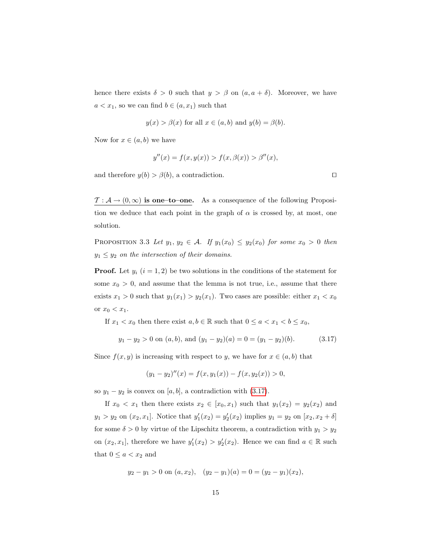hence there exists  $\delta > 0$  such that  $y > \beta$  on  $(a, a + \delta)$ . Moreover, we have  $a < x_1$ , so we can find  $b \in (a, x_1)$  such that

$$
y(x) > \beta(x)
$$
 for all  $x \in (a, b)$  and  $y(b) = \beta(b)$ .

Now for  $x \in (a, b)$  we have

$$
y''(x) = f(x, y(x)) > f(x, \beta(x)) > \beta''(x),
$$

and therefore  $y(b) > \beta(b)$ , a contradiction.

<span id="page-14-1"></span> $\mathcal{T} : \mathcal{A} \to (0,\infty)$  is one–to–one. As a consequence of the following Proposition we deduce that each point in the graph of  $\alpha$  is crossed by, at most, one solution.

PROPOSITION 3.3 Let  $y_1, y_2 \in \mathcal{A}$ . If  $y_1(x_0) \le y_2(x_0)$  for some  $x_0 > 0$  then  $y_1 \leq y_2$  on the intersection of their domains.

**Proof.** Let  $y_i$  ( $i = 1, 2$ ) be two solutions in the conditions of the statement for some  $x_0 > 0$ , and assume that the lemma is not true, i.e., assume that there exists  $x_1 > 0$  such that  $y_1(x_1) > y_2(x_1)$ . Two cases are possible: either  $x_1 < x_0$ or  $x_0 < x_1$ .

If  $x_1 < x_0$  then there exist  $a, b \in \mathbb{R}$  such that  $0 \le a < x_1 < b \le x_0$ ,

$$
y_1 - y_2 > 0
$$
 on  $(a, b)$ , and  $(y_1 - y_2)(a) = 0 = (y_1 - y_2)(b)$ . (3.17)

Since  $f(x, y)$  is increasing with respect to y, we have for  $x \in (a, b)$  that

$$
(y_1 - y_2)''(x) = f(x, y_1(x)) - f(x, y_2(x)) > 0,
$$

so  $y_1 - y_2$  is convex on [a, b], a contradiction with [\(3.17\)](#page-14-0).

If  $x_0 < x_1$  then there exists  $x_2 \in [x_0, x_1)$  such that  $y_1(x_2) = y_2(x_2)$  and  $y_1 > y_2$  on  $(x_2, x_1]$ . Notice that  $y'_1(x_2) = y'_2(x_2)$  implies  $y_1 = y_2$  on  $[x_2, x_2 + \delta]$ for some  $\delta > 0$  by virtue of the Lipschitz theorem, a contradiction with  $y_1 > y_2$ on  $(x_2, x_1]$ , therefore we have  $y_1'(x_2) > y_2'(x_2)$ . Hence we can find  $a \in \mathbb{R}$  such that  $0 \leq a < x_2$  and

$$
y_2 - y_1 > 0
$$
 on  $(a, x_2)$ ,  $(y_2 - y_1)(a) = 0 = (y_2 - y_1)(x_2)$ ,

<span id="page-14-0"></span>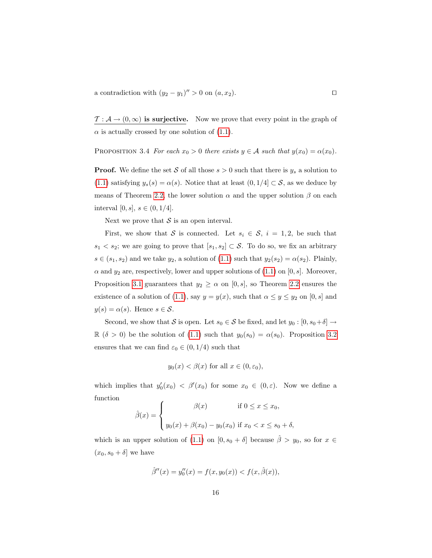a contradiction with  $(y_2 - y_1)'' > 0$  on  $(a, x_2)$ .

 $\mathcal{T}: \mathcal{A} \to (0,\infty)$  is surjective. Now we prove that every point in the graph of  $\alpha$  is actually crossed by one solution of [\(1.1\)](#page-1-0).

<span id="page-15-0"></span>PROPOSITION 3.4 For each  $x_0 > 0$  there exists  $y \in A$  such that  $y(x_0) = \alpha(x_0)$ .

**Proof.** We define the set S of all those  $s > 0$  such that there is  $y_s$  a solution to [\(1.1\)](#page-1-0) satisfying  $y_s(s) = \alpha(s)$ . Notice that at least  $(0, 1/4] \subset S$ , as we deduce by means of Theorem [2.2,](#page-5-0) the lower solution  $\alpha$  and the upper solution  $\beta$  on each interval [0, s],  $s \in (0, 1/4]$ .

Next we prove that  $S$  is an open interval.

First, we show that S is connected. Let  $s_i \in S$ ,  $i = 1, 2$ , be such that  $s_1 < s_2$ ; we are going to prove that  $[s_1, s_2] \subset S$ . To do so, we fix an arbitrary  $s \in (s_1, s_2)$  and we take  $y_2$ , a solution of  $(1.1)$  such that  $y_2(s_2) = \alpha(s_2)$ . Plainly,  $\alpha$  and  $y_2$  are, respectively, lower and upper solutions of [\(1.1\)](#page-1-0) on [0, s]. Moreover, Proposition [3.1](#page-11-1) guarantees that  $y_2 \ge \alpha$  on [0, s], so Theorem [2.2](#page-5-0) ensures the existence of a solution of [\(1.1\)](#page-1-0), say  $y = y(x)$ , such that  $\alpha \le y \le y_2$  on  $[0, s]$  and  $y(s) = \alpha(s)$ . Hence  $s \in \mathcal{S}$ .

Second, we show that S is open. Let  $s_0 \in S$  be fixed, and let  $y_0 : [0, s_0 + \delta] \to$  $\mathbb{R}$  ( $\delta > 0$ ) be the solution of [\(1.1\)](#page-1-0) such that  $y_0(s_0) = \alpha(s_0)$ . Proposition [3.2](#page-13-0) ensures that we can find  $\varepsilon_0 \in (0, 1/4)$  such that

$$
y_0(x) < \beta(x)
$$
 for all  $x \in (0, \varepsilon_0)$ ,

which implies that  $y'_0(x_0) < \beta'(x_0)$  for some  $x_0 \in (0, \varepsilon)$ . Now we define a function

$$
\hat{\beta}(x) = \begin{cases}\n\beta(x) & \text{if } 0 \le x \le x_0, \\
y_0(x) + \beta(x_0) - y_0(x_0) & \text{if } x_0 < x \le s_0 + \delta,\n\end{cases}
$$

which is an upper solution of [\(1.1\)](#page-1-0) on  $[0, s_0 + \delta]$  because  $\hat{\beta} > y_0$ , so for  $x \in$  $(x_0, s_0 + \delta]$  we have

$$
\hat{\beta}''(x) = y_0''(x) = f(x, y_0(x)) < f(x, \hat{\beta}(x)),
$$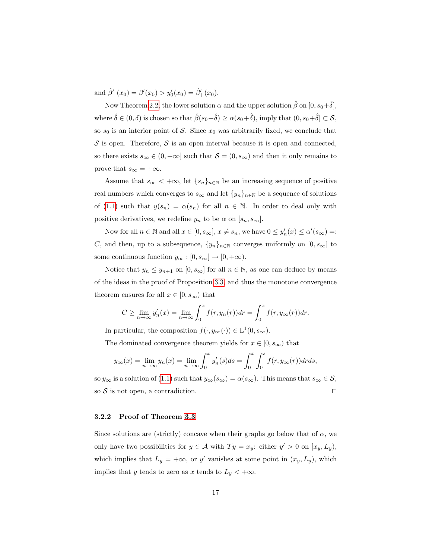and  $\hat{\beta}'_-(x_0) = \beta'(x_0) > y'_0(x_0) = \hat{\beta}'_+(x_0)$ .

Now Theorem [2.2,](#page-5-0) the lower solution  $\alpha$  and the upper solution  $\hat{\beta}$  on  $[0, s_0+\hat{\delta}],$ where  $\hat{\delta} \in (0, \delta)$  is chosen so that  $\hat{\beta}(s_0+\hat{\delta}) \geq \alpha(s_0+\hat{\delta}),$  imply that  $(0, s_0+\hat{\delta}] \subset \mathcal{S}$ , so  $s_0$  is an interior point of S. Since  $x_0$  was arbitrarily fixed, we conclude that  $S$  is open. Therefore,  $S$  is an open interval because it is open and connected, so there exists  $s_{\infty} \in (0, +\infty]$  such that  $\mathcal{S} = (0, s_{\infty})$  and then it only remains to prove that  $s_{\infty} = +\infty$ .

Assume that  $s_{\infty} < +\infty$ , let  $\{s_n\}_{n\in\mathbb{N}}$  be an increasing sequence of positive real numbers which converges to  $s_{\infty}$  and let  $\{y_n\}_{n\in\mathbb{N}}$  be a sequence of solutions of [\(1.1\)](#page-1-0) such that  $y(s_n) = \alpha(s_n)$  for all  $n \in \mathbb{N}$ . In order to deal only with positive derivatives, we redefine  $y_n$  to be  $\alpha$  on  $[s_n, s_\infty]$ .

Now for all  $n \in \mathbb{N}$  and all  $x \in [0, s_{\infty}], x \neq s_n$ , we have  $0 \leq y'_n(x) \leq \alpha'(s_{\infty}) =$ : C, and then, up to a subsequence,  $\{y_n\}_{n\in\mathbb{N}}$  converges uniformly on  $[0, s_{\infty}]$  to some continuous function  $y_{\infty} : [0, s_{\infty}] \to [0, +\infty)$ .

Notice that  $y_n \leq y_{n+1}$  on  $[0, s_{\infty}]$  for all  $n \in \mathbb{N}$ , as one can deduce by means of the ideas in the proof of Proposition [3.3,](#page-14-1) and thus the monotone convergence theorem ensures for all  $x \in [0, s_{\infty})$  that

$$
C \geq \lim_{n \to \infty} y'_n(x) = \lim_{n \to \infty} \int_0^x f(r, y_n(r)) dr = \int_0^x f(r, y_\infty(r)) dr.
$$

In particular, the composition  $f(\cdot, y_{\infty}(\cdot)) \in L^1(0, s_{\infty}).$ 

The dominated convergence theorem yields for  $x \in [0, s_{\infty})$  that

$$
y_{\infty}(x) = \lim_{n \to \infty} y_n(x) = \lim_{n \to \infty} \int_0^x y'_n(s)ds = \int_0^x \int_0^s f(r, y_{\infty}(r)) dr ds,
$$

so  $y_{\infty}$  is a solution of [\(1.1\)](#page-1-0) such that  $y_{\infty}(s_{\infty}) = \alpha(s_{\infty})$ . This means that  $s_{\infty} \in S$ , so  $S$  is not open, a contradiction.

### 3.2.2 Proof of Theorem [3.3](#page-9-1)

Since solutions are (strictly) concave when their graphs go below that of  $\alpha$ , we only have two possibilities for  $y \in A$  with  $Ty = x_y$ : either  $y' > 0$  on  $[x_y, L_y)$ , which implies that  $L_y = +\infty$ , or y' vanishes at some point in  $(x_y, L_y)$ , which implies that y tends to zero as x tends to  $L_y < +\infty$ .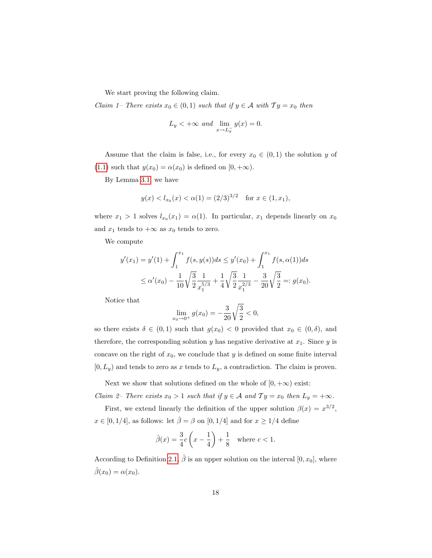We start proving the following claim.

*Claim 1– There exists*  $x_0 \in (0,1)$  such that if  $y \in A$  with  $Ty = x_0$  then

$$
L_y < +\infty \text{ and } \lim_{x \to L_y^-} y(x) = 0.
$$

Assume that the claim is false, i.e., for every  $x_0 \in (0,1)$  the solution y of [\(1.1\)](#page-1-0) such that  $y(x_0) = \alpha(x_0)$  is defined on  $[0, +\infty)$ .

By Lemma [3.1,](#page-10-1) we have

$$
y(x) < l_{x_0}(x) < \alpha(1) = (2/3)^{3/2}
$$
 for  $x \in (1, x_1)$ ,

where  $x_1 > 1$  solves  $l_{x_0}(x_1) = \alpha(1)$ . In particular,  $x_1$  depends linearly on  $x_0$ and  $x_1$  tends to  $+\infty$  as  $x_0$  tends to zero.

We compute

$$
y'(x_1) = y'(1) + \int_1^{x_1} f(s, y(s))ds \le y'(x_0) + \int_1^{x_1} f(s, \alpha(1))ds
$$
  
 
$$
\le \alpha'(x_0) - \frac{1}{10} \sqrt{\frac{3}{2}} \frac{1}{x_1^{5/3}} + \frac{1}{4} \sqrt{\frac{3}{2}} \frac{1}{x_1^{2/3}} - \frac{3}{20} \sqrt{\frac{3}{2}} =: g(x_0).
$$

Notice that

$$
\lim_{x_0 \to 0^+} g(x_0) = -\frac{3}{20} \sqrt{\frac{3}{2}} < 0,
$$

so there exists  $\delta \in (0,1)$  such that  $g(x_0) < 0$  provided that  $x_0 \in (0,\delta)$ , and therefore, the corresponding solution y has negative derivative at  $x_1$ . Since y is concave on the right of  $x_0$ , we conclude that y is defined on some finite interval  $[0, L_y)$  and tends to zero as x tends to  $L_y$ , a contradiction. The claim is proven.

Next we show that solutions defined on the whole of  $[0, +\infty)$  exist: Claim 2– There exists  $x_0 > 1$  such that if  $y \in A$  and  $Ty = x_0$  then  $L_y = +\infty$ .

First, we extend linearly the definition of the upper solution  $\beta(x) = x^{3/2}$ ,  $x \in [0, 1/4]$ , as follows: let  $\hat{\beta} = \beta$  on  $[0, 1/4]$  and for  $x \ge 1/4$  define

$$
\hat{\beta}(x) = \frac{3}{4}c\left(x - \frac{1}{4}\right) + \frac{1}{8}
$$
 where  $c < 1$ .

According to Definition [2.1,](#page-3-1)  $\hat{\beta}$  is an upper solution on the interval  $[0, x_0]$ , where  $\hat{\beta}(x_0) = \alpha(x_0).$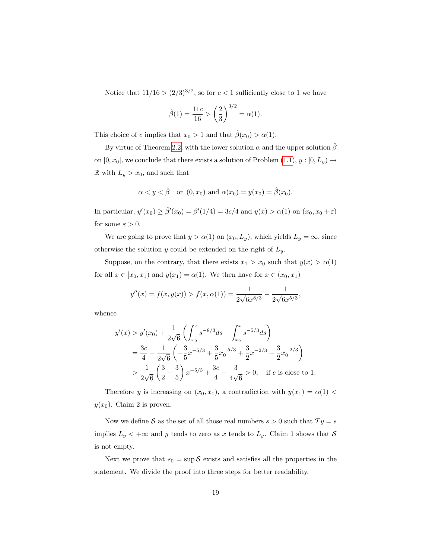Notice that  $11/16 > (2/3)^{3/2}$ , so for  $c < 1$  sufficiently close to 1 we have

$$
\hat{\beta}(1) = \frac{11c}{16} > \left(\frac{2}{3}\right)^{3/2} = \alpha(1).
$$

This choice of c implies that  $x_0 > 1$  and that  $\hat{\beta}(x_0) > \alpha(1)$ .

By virtue of Theorem [2.2,](#page-5-0) with the lower solution  $\alpha$  and the upper solution  $\hat{\beta}$ on  $[0, x_0]$ , we conclude that there exists a solution of Problem  $(1.1), y : [0, L_y) \rightarrow$  $(1.1), y : [0, L_y) \rightarrow$ R with  $L_y > x_0$ , and such that

$$
\alpha < y < \hat{\beta} \quad \text{on } (0, x_0) \text{ and } \alpha(x_0) = y(x_0) = \hat{\beta}(x_0).
$$

In particular,  $y'(x_0) \ge \hat{\beta}'(x_0) = \beta'(1/4) = 3c/4$  and  $y(x) > \alpha(1)$  on  $(x_0, x_0 + \varepsilon)$ for some  $\varepsilon > 0$ .

We are going to prove that  $y > \alpha(1)$  on  $(x_0, L_y)$ , which yields  $L_y = \infty$ , since otherwise the solution y could be extended on the right of  $L_y$ .

Suppose, on the contrary, that there exists  $x_1 > x_0$  such that  $y(x) > \alpha(1)$ for all  $x \in [x_0, x_1)$  and  $y(x_1) = \alpha(1)$ . We then have for  $x \in (x_0, x_1)$ 

$$
y''(x) = f(x, y(x)) > f(x, \alpha(1)) = \frac{1}{2\sqrt{6x^{8/3}}} - \frac{1}{2\sqrt{6x^{5/3}}},
$$

whence

$$
y'(x) > y'(x_0) + \frac{1}{2\sqrt{6}} \left( \int_{x_0}^x s^{-8/3} ds - \int_{x_0}^x s^{-5/3} ds \right)
$$
  
=  $\frac{3c}{4} + \frac{1}{2\sqrt{6}} \left( -\frac{3}{5} x^{-5/3} + \frac{3}{5} x_0^{-5/3} + \frac{3}{2} x^{-2/3} - \frac{3}{2} x_0^{-2/3} \right)$   
>  $\frac{1}{2\sqrt{6}} \left( \frac{3}{2} - \frac{3}{5} \right) x^{-5/3} + \frac{3c}{4} - \frac{3}{4\sqrt{6}} > 0$ , if  $c$  is close to 1.

Therefore y is increasing on  $(x_0, x_1)$ , a contradiction with  $y(x_1) = \alpha(1)$  $y(x_0)$ . Claim 2 is proven.

Now we define  $S$  as the set of all those real numbers  $s > 0$  such that  $Ty = s$ implies  $L_y < +\infty$  and y tends to zero as x tends to  $L_y$ . Claim 1 shows that S is not empty.

Next we prove that  $s_0 = \sup S$  exists and satisfies all the properties in the statement. We divide the proof into three steps for better readability.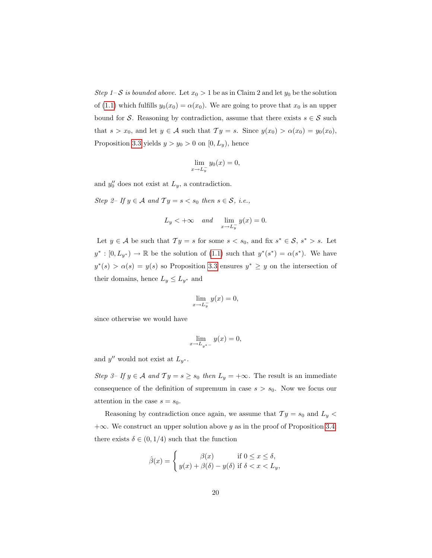Step 1– S is bounded above. Let  $x_0 > 1$  be as in Claim 2 and let  $y_0$  be the solution of [\(1.1\)](#page-1-0) which fulfills  $y_0(x_0) = \alpha(x_0)$ . We are going to prove that  $x_0$  is an upper bound for S. Reasoning by contradiction, assume that there exists  $s \in S$  such that  $s > x_0$ , and let  $y \in A$  such that  $Ty = s$ . Since  $y(x_0) > \alpha(x_0) = y_0(x_0)$ , Proposition [3.3](#page-14-1) yields  $y > y_0 > 0$  on  $[0, L_y)$ , hence

$$
\lim_{x \to L_y^-} y_0(x) = 0,
$$

and  $y_0''$  does not exist at  $L_y$ , a contradiction.

Step 2– If  $y \in A$  and  $Ty = s < s_0$  then  $s \in S$ , i.e.,

$$
L_y < +\infty \quad and \quad \lim_{x \to L_y^-} y(x) = 0.
$$

Let  $y \in A$  be such that  $Ty = s$  for some  $s < s_0$ , and fix  $s^* \in S$ ,  $s^* > s$ . Let  $y^*: [0, L_{y^*}] \to \mathbb{R}$  be the solution of [\(1.1\)](#page-1-0) such that  $y^*(s^*) = \alpha(s^*)$ . We have  $y^*(s) > \alpha(s) = y(s)$  so Proposition [3.3](#page-14-1) ensures  $y^* \geq y$  on the intersection of their domains, hence  $L_y \leq L_{y^*}$  and

$$
\lim_{x \to L_y^-} y(x) = 0,
$$

since otherwise we would have

$$
\lim_{x \to L_{y^*-}} y(x) = 0,
$$

and  $y''$  would not exist at  $L_{y^*}$ .

Step 3– If  $y \in A$  and  $Ty = s \geq s_0$  then  $L_y = +\infty$ . The result is an immediate consequence of the definition of supremum in case  $s > s_0$ . Now we focus our attention in the case  $s = s_0$ .

Reasoning by contradiction once again, we assume that  $Ty = s_0$  and  $L_y <$  $+\infty$ . We construct an upper solution above y as in the proof of Proposition [3.4:](#page-15-0) there exists  $\delta \in (0, 1/4)$  such that the function

$$
\hat{\beta}(x) = \begin{cases}\n\beta(x) & \text{if } 0 \le x \le \delta, \\
y(x) + \beta(\delta) - y(\delta) & \text{if } \delta < x < L_y,\n\end{cases}
$$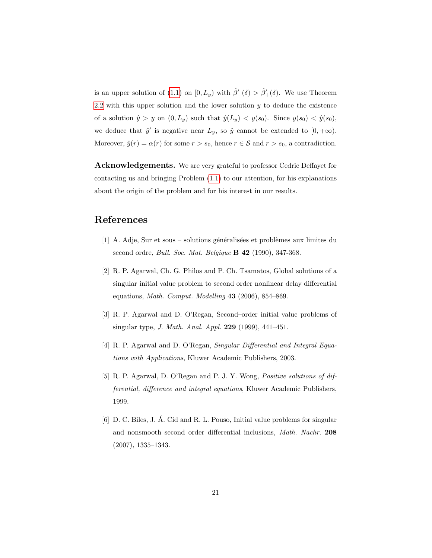is an upper solution of [\(1.1\)](#page-1-0) on  $[0, L_y)$  with  $\hat{\beta}'_{-}(\delta) > \hat{\beta}'_{+}(\delta)$ . We use Theorem [2.2](#page-5-0) with this upper solution and the lower solution  $y$  to deduce the existence of a solution  $\hat{y} > y$  on  $(0, L_y)$  such that  $\hat{y}(L_y) < y(s_0)$ . Since  $y(s_0) < \hat{y}(s_0)$ , we deduce that  $\hat{y}'$  is negative near  $L_y$ , so  $\hat{y}$  cannot be extended to  $[0, +\infty)$ . Moreover,  $\hat{y}(r) = \alpha(r)$  for some  $r > s_0$ , hence  $r \in S$  and  $r > s_0$ , a contradiction.

Acknowledgements. We are very grateful to professor Cedric Deffayet for contacting us and bringing Problem [\(1.1\)](#page-1-0) to our attention, for his explanations about the origin of the problem and for his interest in our results.

## <span id="page-20-0"></span>References

- [1] A. Adje, Sur et sous solutions généralisées et problèmes aux limites du second ordre, *Bull. Soc. Mat. Belgique* **B 42** (1990), 347-368.
- <span id="page-20-5"></span>[2] R. P. Agarwal, Ch. G. Philos and P. Ch. Tsamatos, Global solutions of a singular initial value problem to second order nonlinear delay differential equations, Math. Comput. Modelling 43 (2006), 854–869.
- <span id="page-20-1"></span>[3] R. P. Agarwal and D. O'Regan, Second–order initial value problems of singular type, J. Math. Anal. Appl. 229 (1999), 441–451.
- <span id="page-20-2"></span>[4] R. P. Agarwal and D. O'Regan, Singular Differential and Integral Equations with Applications, Kluwer Academic Publishers, 2003.
- <span id="page-20-3"></span>[5] R. P. Agarwal, D. O'Regan and P. J. Y. Wong, Positive solutions of differential, difference and integral equations, Kluwer Academic Publishers, 1999.
- <span id="page-20-4"></span>[6] D. C. Biles, J. A. Cid and R. L. Pouso, Initial value problems for singular ´ and nonsmooth second order differential inclusions, Math. Nachr. 208 (2007), 1335–1343.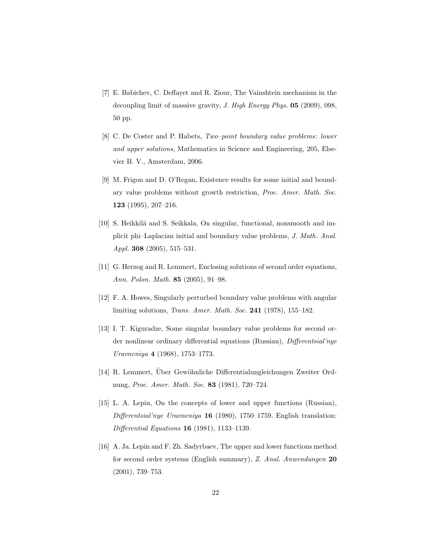- <span id="page-21-0"></span>[7] E. Babichev, C. Deffayet and R. Ziour, The Vainshtein mechanism in the decoupling limit of massive gravity, J. High Energy Phys. 05 (2009), 098, 50 pp.
- <span id="page-21-7"></span>[8] C. De Coster and P. Habets, Two–point boundary value problems: lower and upper solutions, Mathematics in Science and Engineering, 205, Elsevier B. V., Amsterdam, 2006.
- <span id="page-21-1"></span>[9] M. Frigon and D. O'Regan, Existence results for some initial and boundary value problems without growth restriction, Proc. Amer. Math. Soc. 123 (1995), 207–216.
- <span id="page-21-6"></span>[10] S. Heikkilä and S. Seikkala, On singular, functional, nonsmooth and implicit phi–Laplacian initial and boundary value problems, J. Math. Anal. Appl. **308** (2005), 515–531.
- <span id="page-21-8"></span>[11] G. Herzog and R. Lemmert, Enclosing solutions of second order equations, Ann. Polon. Math. 85 (2005), 91–98.
- <span id="page-21-2"></span>[12] F. A. Howes, Singularly perturbed boundary value problems with angular limiting solutions, Trans. Amer. Math. Soc. 241 (1978), 155–182.
- <span id="page-21-3"></span>[13] I. T. Kiguradze, Some singular boundary value problems for second order nonlinear ordinary differential equations (Russian), Differentsial'nye Uravneniya 4 (1968), 1753–1773.
- <span id="page-21-9"></span>[14] R. Lemmert, Über Gewöhnliche Differentialungleichungen Zweiter Ordnung, Proc. Amer. Math. Soc. 83 (1981), 720–724.
- <span id="page-21-4"></span>[15] L. A. Lepin, On the concepts of lower and upper functions (Russian), Differentsial'nye Uravneniya 16 (1980), 1750–1759. English translation: Differential Equations 16 (1981), 1133–1139.
- <span id="page-21-5"></span>[16] A. Ja. Lepin and F. Zh. Sadyrbaev, The upper and lower functions method for second order systems (English summary), Z. Anal. Anwendungen 20 (2001), 739–753.